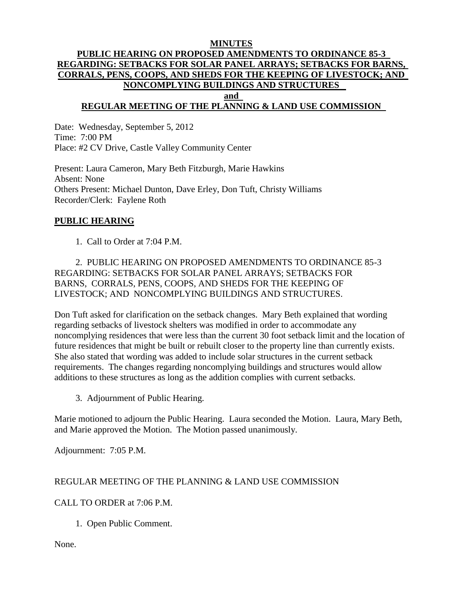#### **MINUTES PUBLIC HEARING ON PROPOSED AMENDMENTS TO ORDINANCE 85-3 REGARDING: SETBACKS FOR SOLAR PANEL ARRAYS; SETBACKS FOR BARNS, CORRALS, PENS, COOPS, AND SHEDS FOR THE KEEPING OF LIVESTOCK; AND NONCOMPLYING BUILDINGS AND STRUCTURES and**

# **REGULAR MEETING OF THE PLANNING & LAND USE COMMISSION**

Date: Wednesday, September 5, 2012 Time: 7:00 PM Place: #2 CV Drive, Castle Valley Community Center

Present: Laura Cameron, Mary Beth Fitzburgh, Marie Hawkins Absent: None Others Present: Michael Dunton, Dave Erley, Don Tuft, Christy Williams Recorder/Clerk: Faylene Roth

#### **PUBLIC HEARING**

1. Call to Order at 7:04 P.M.

#### 2. PUBLIC HEARING ON PROPOSED AMENDMENTS TO ORDINANCE 85-3 REGARDING: SETBACKS FOR SOLAR PANEL ARRAYS; SETBACKS FOR BARNS, CORRALS, PENS, COOPS, AND SHEDS FOR THE KEEPING OF LIVESTOCK; AND NONCOMPLYING BUILDINGS AND STRUCTURES.

Don Tuft asked for clarification on the setback changes. Mary Beth explained that wording regarding setbacks of livestock shelters was modified in order to accommodate any noncomplying residences that were less than the current 30 foot setback limit and the location of future residences that might be built or rebuilt closer to the property line than currently exists. She also stated that wording was added to include solar structures in the current setback requirements. The changes regarding noncomplying buildings and structures would allow additions to these structures as long as the addition complies with current setbacks.

3. Adjournment of Public Hearing.

Marie motioned to adjourn the Public Hearing. Laura seconded the Motion. Laura, Mary Beth, and Marie approved the Motion. The Motion passed unanimously.

Adjournment: 7:05 P.M.

## REGULAR MEETING OF THE PLANNING & LAND USE COMMISSION

## CALL TO ORDER at 7:06 P.M.

1. Open Public Comment.

None.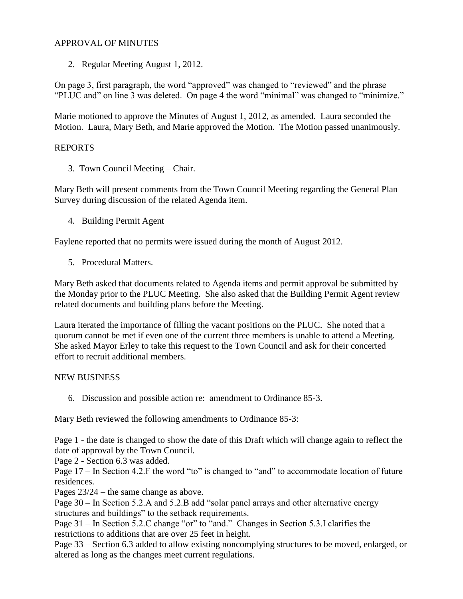## APPROVAL OF MINUTES

2. Regular Meeting August 1, 2012.

On page 3, first paragraph, the word "approved" was changed to "reviewed" and the phrase "PLUC and" on line 3 was deleted. On page 4 the word "minimal" was changed to "minimize."

Marie motioned to approve the Minutes of August 1, 2012, as amended. Laura seconded the Motion. Laura, Mary Beth, and Marie approved the Motion. The Motion passed unanimously.

## REPORTS

3. Town Council Meeting – Chair.

Mary Beth will present comments from the Town Council Meeting regarding the General Plan Survey during discussion of the related Agenda item.

4. Building Permit Agent

Faylene reported that no permits were issued during the month of August 2012.

5. Procedural Matters.

Mary Beth asked that documents related to Agenda items and permit approval be submitted by the Monday prior to the PLUC Meeting. She also asked that the Building Permit Agent review related documents and building plans before the Meeting.

Laura iterated the importance of filling the vacant positions on the PLUC. She noted that a quorum cannot be met if even one of the current three members is unable to attend a Meeting. She asked Mayor Erley to take this request to the Town Council and ask for their concerted effort to recruit additional members.

#### NEW BUSINESS

6. Discussion and possible action re: amendment to Ordinance 85-3.

Mary Beth reviewed the following amendments to Ordinance 85-3:

Page 1 - the date is changed to show the date of this Draft which will change again to reflect the date of approval by the Town Council.

Page 2 - Section 6.3 was added.

Page  $17 -$  In Section 4.2. F the word "to" is changed to "and" to accommodate location of future residences.

Pages 23/24 – the same change as above.

Page 30 – In Section 5.2.A and 5.2.B add "solar panel arrays and other alternative energy structures and buildings" to the setback requirements.

Page 31 – In Section 5.2.C change "or" to "and." Changes in Section 5.3.I clarifies the restrictions to additions that are over 25 feet in height.

Page 33 – Section 6.3 added to allow existing noncomplying structures to be moved, enlarged, or altered as long as the changes meet current regulations.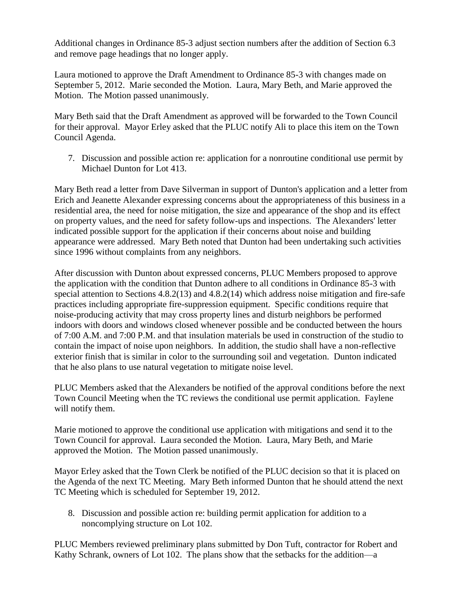Additional changes in Ordinance 85-3 adjust section numbers after the addition of Section 6.3 and remove page headings that no longer apply.

Laura motioned to approve the Draft Amendment to Ordinance 85-3 with changes made on September 5, 2012. Marie seconded the Motion. Laura, Mary Beth, and Marie approved the Motion. The Motion passed unanimously.

Mary Beth said that the Draft Amendment as approved will be forwarded to the Town Council for their approval. Mayor Erley asked that the PLUC notify Ali to place this item on the Town Council Agenda.

7. Discussion and possible action re: application for a nonroutine conditional use permit by Michael Dunton for Lot 413.

Mary Beth read a letter from Dave Silverman in support of Dunton's application and a letter from Erich and Jeanette Alexander expressing concerns about the appropriateness of this business in a residential area, the need for noise mitigation, the size and appearance of the shop and its effect on property values, and the need for safety follow-ups and inspections. The Alexanders' letter indicated possible support for the application if their concerns about noise and building appearance were addressed. Mary Beth noted that Dunton had been undertaking such activities since 1996 without complaints from any neighbors.

After discussion with Dunton about expressed concerns, PLUC Members proposed to approve the application with the condition that Dunton adhere to all conditions in Ordinance 85-3 with special attention to Sections 4.8.2(13) and 4.8.2(14) which address noise mitigation and fire-safe practices including appropriate fire-suppression equipment. Specific conditions require that noise-producing activity that may cross property lines and disturb neighbors be performed indoors with doors and windows closed whenever possible and be conducted between the hours of 7:00 A.M. and 7:00 P.M. and that insulation materials be used in construction of the studio to contain the impact of noise upon neighbors. In addition, the studio shall have a non-reflective exterior finish that is similar in color to the surrounding soil and vegetation. Dunton indicated that he also plans to use natural vegetation to mitigate noise level.

PLUC Members asked that the Alexanders be notified of the approval conditions before the next Town Council Meeting when the TC reviews the conditional use permit application. Faylene will notify them.

Marie motioned to approve the conditional use application with mitigations and send it to the Town Council for approval. Laura seconded the Motion. Laura, Mary Beth, and Marie approved the Motion. The Motion passed unanimously.

Mayor Erley asked that the Town Clerk be notified of the PLUC decision so that it is placed on the Agenda of the next TC Meeting. Mary Beth informed Dunton that he should attend the next TC Meeting which is scheduled for September 19, 2012.

8. Discussion and possible action re: building permit application for addition to a noncomplying structure on Lot 102.

PLUC Members reviewed preliminary plans submitted by Don Tuft, contractor for Robert and Kathy Schrank, owners of Lot 102. The plans show that the setbacks for the addition—a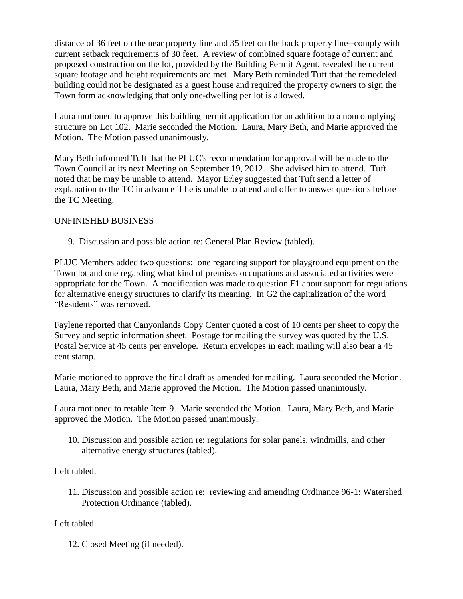distance of 36 feet on the near property line and 35 feet on the back property line--comply with current setback requirements of 30 feet. A review of combined square footage of current and proposed construction on the lot, provided by the Building Permit Agent, revealed the current square footage and height requirements are met. Mary Beth reminded Tuft that the remodeled building could not be designated as a guest house and required the property owners to sign the Town form acknowledging that only one-dwelling per lot is allowed.

Laura motioned to approve this building permit application for an addition to a noncomplying structure on Lot 102. Marie seconded the Motion. Laura, Mary Beth, and Marie approved the Motion. The Motion passed unanimously.

Mary Beth informed Tuft that the PLUC's recommendation for approval will be made to the Town Council at its next Meeting on September 19, 2012. She advised him to attend. Tuft noted that he may be unable to attend. Mayor Erley suggested that Tuft send a letter of explanation to the TC in advance if he is unable to attend and offer to answer questions before the TC Meeting.

## UNFINISHED BUSINESS

9. Discussion and possible action re: General Plan Review (tabled).

PLUC Members added two questions: one regarding support for playground equipment on the Town lot and one regarding what kind of premises occupations and associated activities were appropriate for the Town. A modification was made to question F1 about support for regulations for alternative energy structures to clarify its meaning. In G2 the capitalization of the word "Residents" was removed.

Faylene reported that Canyonlands Copy Center quoted a cost of 10 cents per sheet to copy the Survey and septic information sheet. Postage for mailing the survey was quoted by the U.S. Postal Service at 45 cents per envelope. Return envelopes in each mailing will also bear a 45 cent stamp.

Marie motioned to approve the final draft as amended for mailing. Laura seconded the Motion. Laura, Mary Beth, and Marie approved the Motion. The Motion passed unanimously.

Laura motioned to retable Item 9. Marie seconded the Motion. Laura, Mary Beth, and Marie approved the Motion. The Motion passed unanimously.

10. Discussion and possible action re: regulations for solar panels, windmills, and other alternative energy structures (tabled).

Left tabled.

11. Discussion and possible action re: reviewing and amending Ordinance 96-1: Watershed Protection Ordinance (tabled).

## Left tabled.

12. Closed Meeting (if needed).